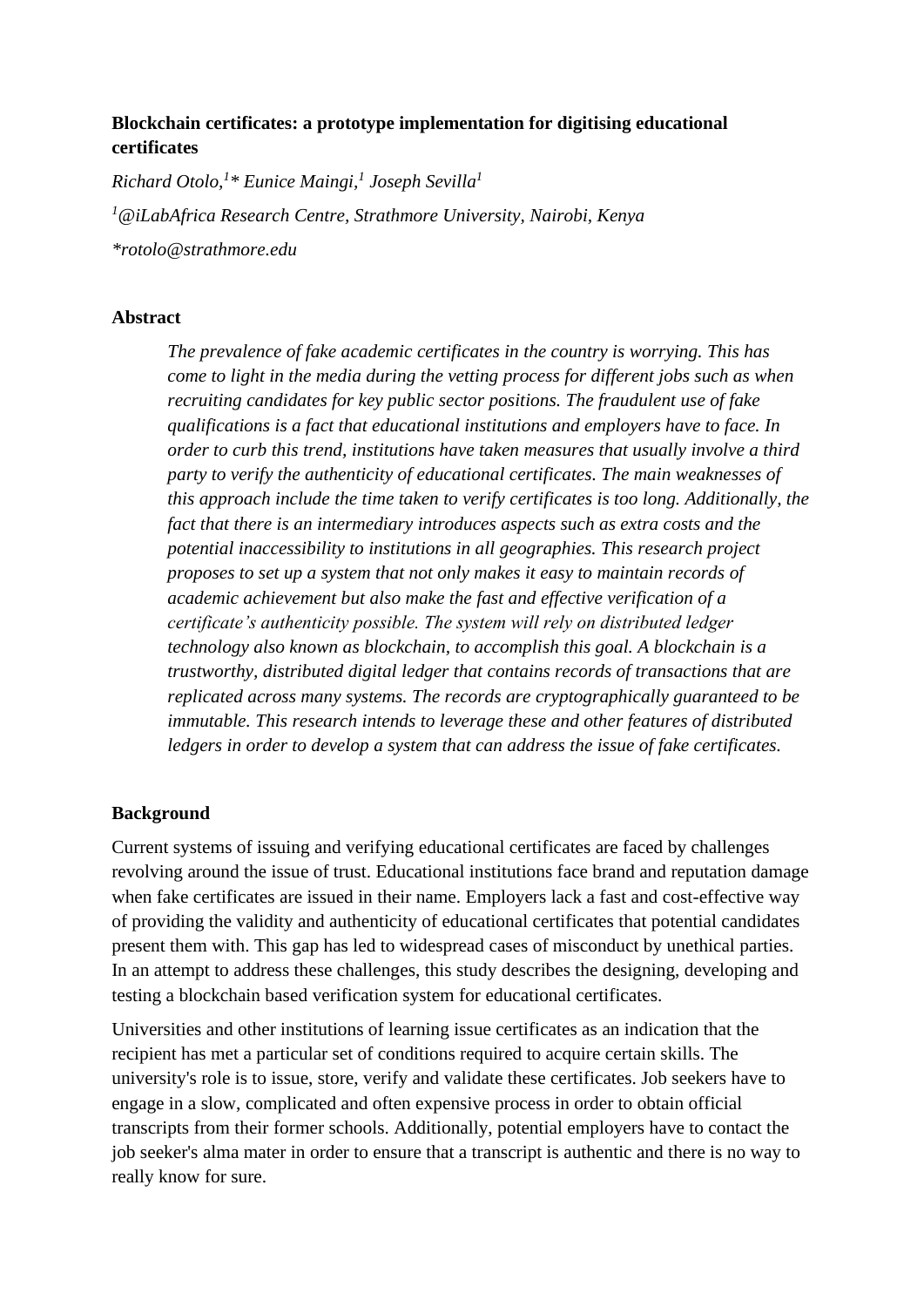## **Blockchain certificates: a prototype implementation for digitising educational certificates**

*Richard Otolo,<sup>1</sup> \* Eunice Maingi,<sup>1</sup> Joseph Sevilla<sup>1</sup> <sup>1</sup>@iLabAfrica Research Centre, Strathmore University, Nairobi, Kenya \*rotolo@strathmore.edu*

#### **Abstract**

*The prevalence of fake academic certificates in the country is worrying. This has come to light in the media during the vetting process for different jobs such as when recruiting candidates for key public sector positions. The fraudulent use of fake qualifications is a fact that educational institutions and employers have to face. In order to curb this trend, institutions have taken measures that usually involve a third party to verify the authenticity of educational certificates. The main weaknesses of this approach include the time taken to verify certificates is too long. Additionally, the fact that there is an intermediary introduces aspects such as extra costs and the potential inaccessibility to institutions in all geographies. This research project proposes to set up a system that not only makes it easy to maintain records of academic achievement but also make the fast and effective verification of a certificate's authenticity possible. The system will rely on distributed ledger technology also known as blockchain, to accomplish this goal. A blockchain is a trustworthy, distributed digital ledger that contains records of transactions that are replicated across many systems. The records are cryptographically guaranteed to be immutable. This research intends to leverage these and other features of distributed ledgers in order to develop a system that can address the issue of fake certificates.* 

### **Background**

Current systems of issuing and verifying educational certificates are faced by challenges revolving around the issue of trust. Educational institutions face brand and reputation damage when fake certificates are issued in their name. Employers lack a fast and cost-effective way of providing the validity and authenticity of educational certificates that potential candidates present them with. This gap has led to widespread cases of misconduct by unethical parties. In an attempt to address these challenges, this study describes the designing, developing and testing a blockchain based verification system for educational certificates.

Universities and other institutions of learning issue certificates as an indication that the recipient has met a particular set of conditions required to acquire certain skills. The university's role is to issue, store, verify and validate these certificates. Job seekers have to engage in a slow, complicated and often expensive process in order to obtain official transcripts from their former schools. Additionally, potential employers have to contact the job seeker's alma mater in order to ensure that a transcript is authentic and there is no way to really know for sure.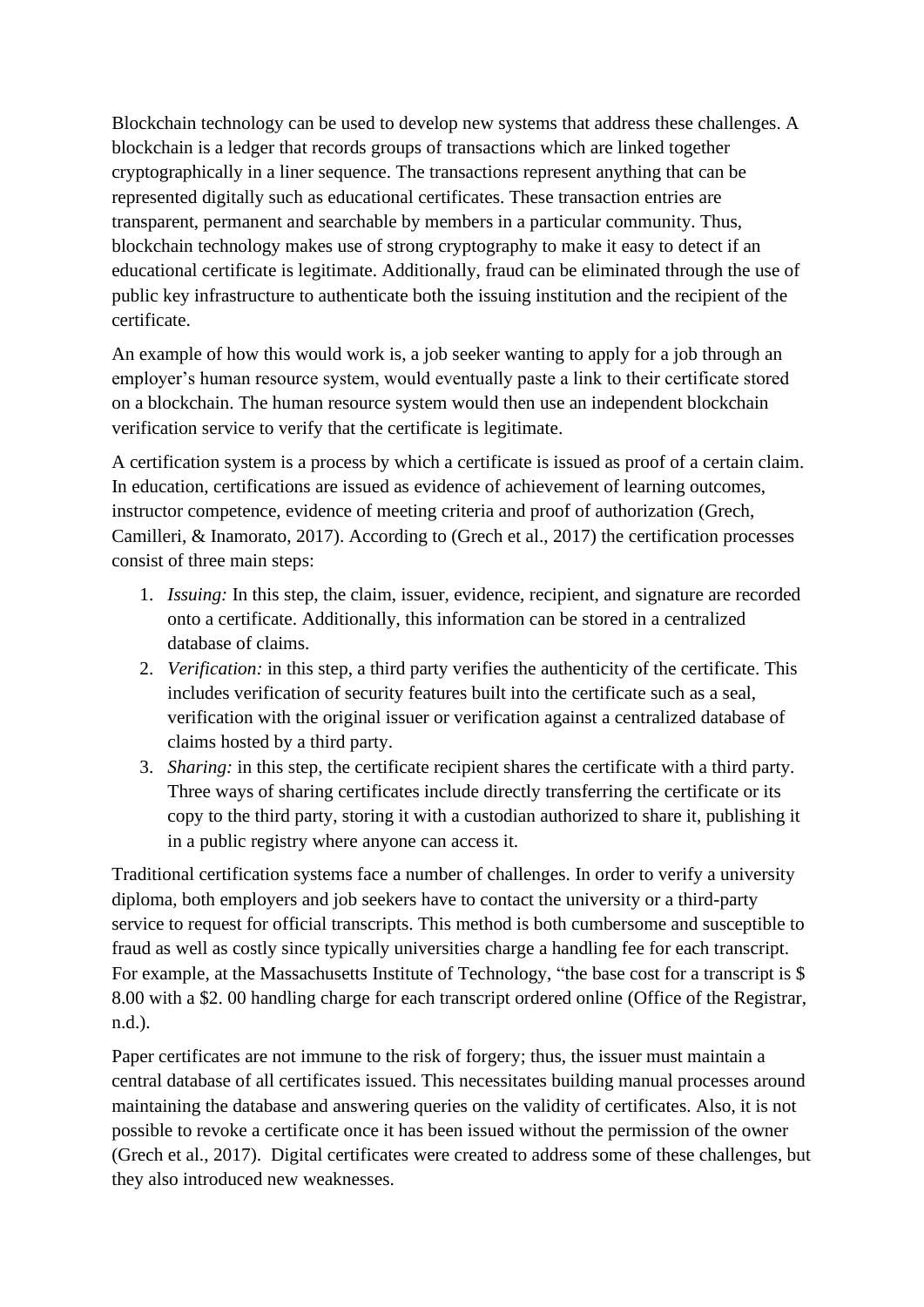Blockchain technology can be used to develop new systems that address these challenges. A blockchain is a ledger that records groups of transactions which are linked together cryptographically in a liner sequence. The transactions represent anything that can be represented digitally such as educational certificates. These transaction entries are transparent, permanent and searchable by members in a particular community. Thus, blockchain technology makes use of strong cryptography to make it easy to detect if an educational certificate is legitimate. Additionally, fraud can be eliminated through the use of public key infrastructure to authenticate both the issuing institution and the recipient of the certificate.

An example of how this would work is, a job seeker wanting to apply for a job through an employer's human resource system, would eventually paste a link to their certificate stored on a blockchain. The human resource system would then use an independent blockchain verification service to verify that the certificate is legitimate.

A certification system is a process by which a certificate is issued as proof of a certain claim. In education, certifications are issued as evidence of achievement of learning outcomes, instructor competence, evidence of meeting criteria and proof of authorization (Grech, Camilleri, & Inamorato, 2017). According to (Grech et al., 2017) the certification processes consist of three main steps:

- 1. *Issuing:* In this step, the claim, issuer, evidence, recipient, and signature are recorded onto a certificate. Additionally, this information can be stored in a centralized database of claims.
- 2. *Verification:* in this step, a third party verifies the authenticity of the certificate. This includes verification of security features built into the certificate such as a seal, verification with the original issuer or verification against a centralized database of claims hosted by a third party.
- 3. *Sharing:* in this step, the certificate recipient shares the certificate with a third party. Three ways of sharing certificates include directly transferring the certificate or its copy to the third party, storing it with a custodian authorized to share it, publishing it in a public registry where anyone can access it.

Traditional certification systems face a number of challenges. In order to verify a university diploma, both employers and job seekers have to contact the university or a third-party service to request for official transcripts. This method is both cumbersome and susceptible to fraud as well as costly since typically universities charge a handling fee for each transcript. For example, at the Massachusetts Institute of Technology, "the base cost for a transcript is \$ 8.00 with a \$2. 00 handling charge for each transcript ordered online (Office of the Registrar, n.d.).

Paper certificates are not immune to the risk of forgery; thus, the issuer must maintain a central database of all certificates issued. This necessitates building manual processes around maintaining the database and answering queries on the validity of certificates. Also, it is not possible to revoke a certificate once it has been issued without the permission of the owner (Grech et al., 2017). Digital certificates were created to address some of these challenges, but they also introduced new weaknesses.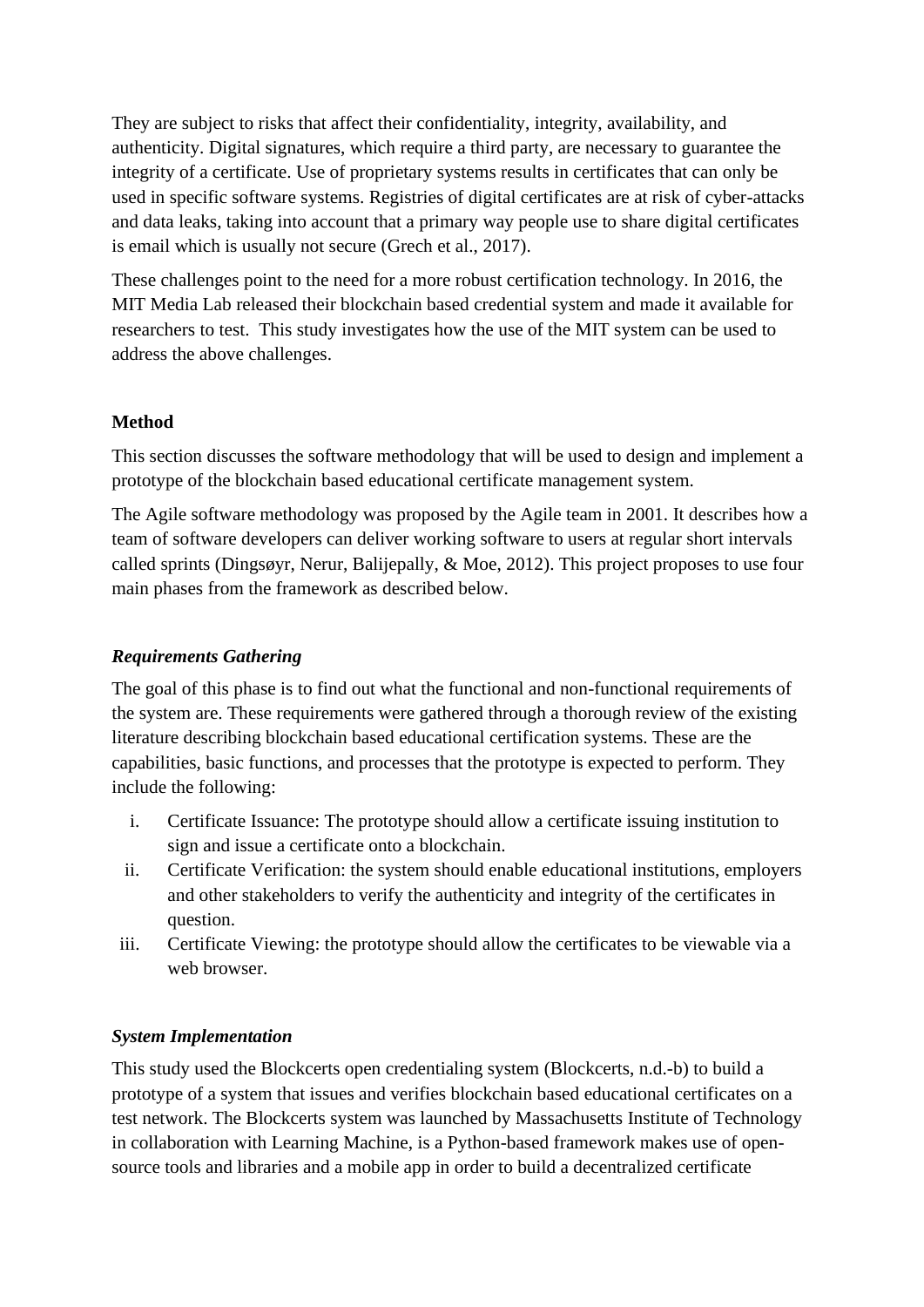They are subject to risks that affect their confidentiality, integrity, availability, and authenticity. Digital signatures, which require a third party, are necessary to guarantee the integrity of a certificate. Use of proprietary systems results in certificates that can only be used in specific software systems. Registries of digital certificates are at risk of cyber-attacks and data leaks, taking into account that a primary way people use to share digital certificates is email which is usually not secure (Grech et al., 2017).

These challenges point to the need for a more robust certification technology. In 2016, the MIT Media Lab released their blockchain based credential system and made it available for researchers to test. This study investigates how the use of the MIT system can be used to address the above challenges.

# **Method**

This section discusses the software methodology that will be used to design and implement a prototype of the blockchain based educational certificate management system.

The Agile software methodology was proposed by the Agile team in 2001. It describes how a team of software developers can deliver working software to users at regular short intervals called sprints (Dingsøyr, Nerur, Balijepally, & Moe, 2012). This project proposes to use four main phases from the framework as described below.

### *Requirements Gathering*

The goal of this phase is to find out what the functional and non-functional requirements of the system are. These requirements were gathered through a thorough review of the existing literature describing blockchain based educational certification systems. These are the capabilities, basic functions, and processes that the prototype is expected to perform. They include the following:

- i. Certificate Issuance: The prototype should allow a certificate issuing institution to sign and issue a certificate onto a blockchain.
- ii. Certificate Verification: the system should enable educational institutions, employers and other stakeholders to verify the authenticity and integrity of the certificates in question.
- iii. Certificate Viewing: the prototype should allow the certificates to be viewable via a web browser.

# *System Implementation*

This study used the Blockcerts open credentialing system (Blockcerts, n.d.-b) to build a prototype of a system that issues and verifies blockchain based educational certificates on a test network. The Blockcerts system was launched by Massachusetts Institute of Technology in collaboration with Learning Machine, is a Python-based framework makes use of opensource tools and libraries and a mobile app in order to build a decentralized certificate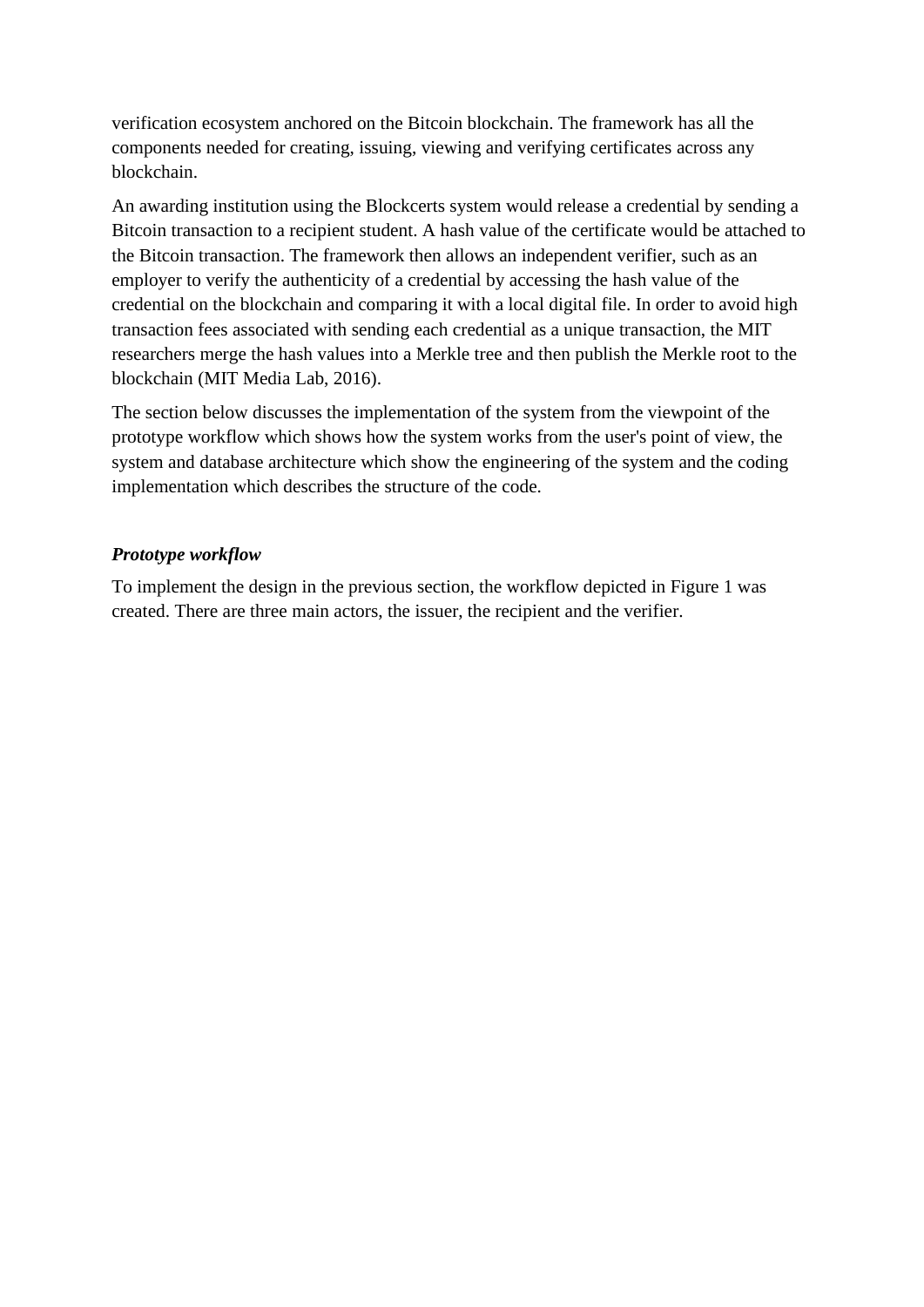verification ecosystem anchored on the Bitcoin blockchain. The framework has all the components needed for creating, issuing, viewing and verifying certificates across any blockchain.

An awarding institution using the Blockcerts system would release a credential by sending a Bitcoin transaction to a recipient student. A hash value of the certificate would be attached to the Bitcoin transaction. The framework then allows an independent verifier, such as an employer to verify the authenticity of a credential by accessing the hash value of the credential on the blockchain and comparing it with a local digital file. In order to avoid high transaction fees associated with sending each credential as a unique transaction, the MIT researchers merge the hash values into a Merkle tree and then publish the Merkle root to the blockchain (MIT Media Lab, 2016).

The section below discusses the implementation of the system from the viewpoint of the prototype workflow which shows how the system works from the user's point of view, the system and database architecture which show the engineering of the system and the coding implementation which describes the structure of the code.

#### *Prototype workflow*

To implement the design in the previous section, the workflow depicted in Figure 1 was created. There are three main actors, the issuer, the recipient and the verifier.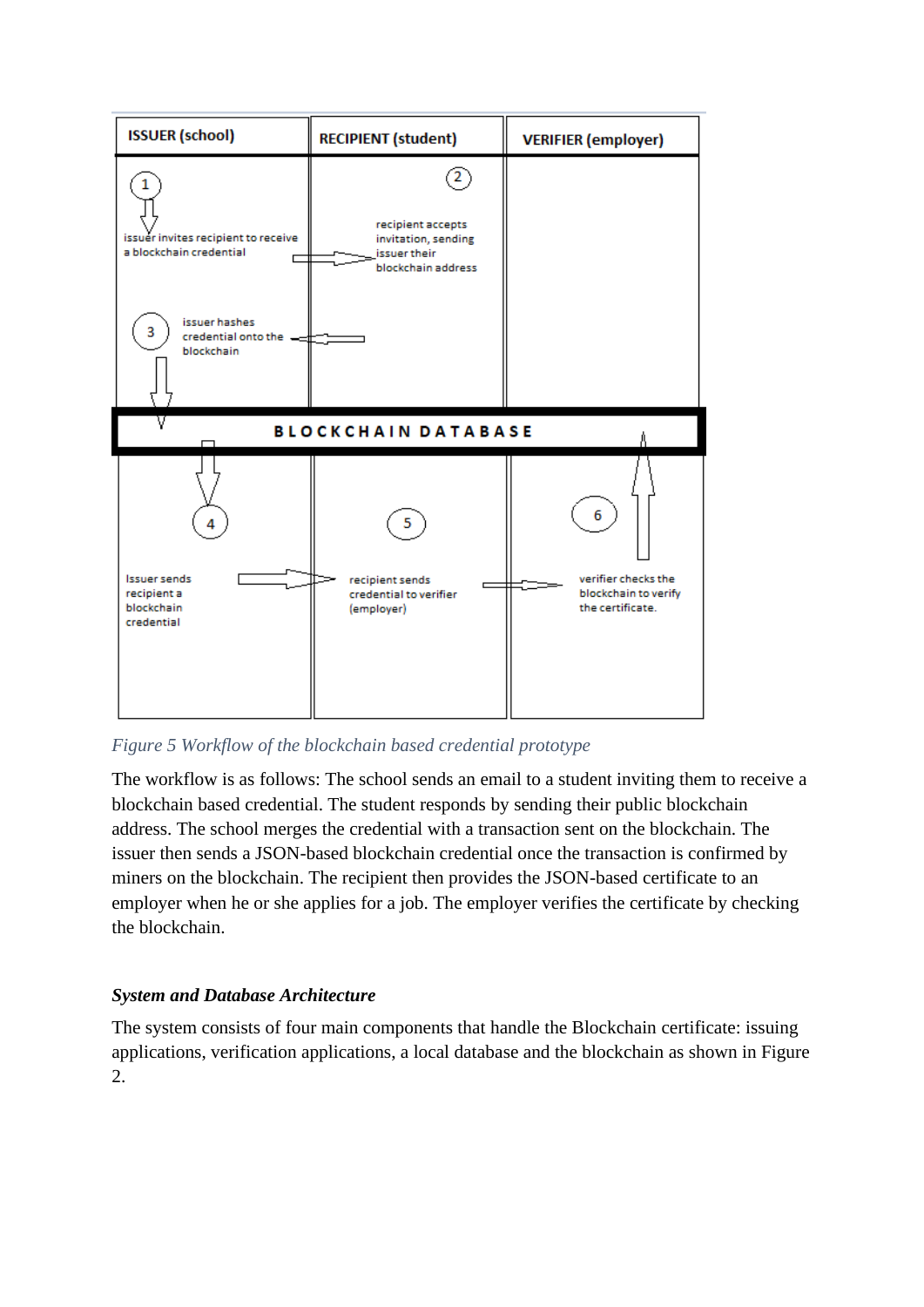

*Figure 5 Workflow of the blockchain based credential prototype*

The workflow is as follows: The school sends an email to a student inviting them to receive a blockchain based credential. The student responds by sending their public blockchain address. The school merges the credential with a transaction sent on the blockchain. The issuer then sends a JSON-based blockchain credential once the transaction is confirmed by miners on the blockchain. The recipient then provides the JSON-based certificate to an employer when he or she applies for a job. The employer verifies the certificate by checking the blockchain.

# *System and Database Architecture*

The system consists of four main components that handle the Blockchain certificate: issuing applications, verification applications, a local database and the blockchain as shown in Figure 2.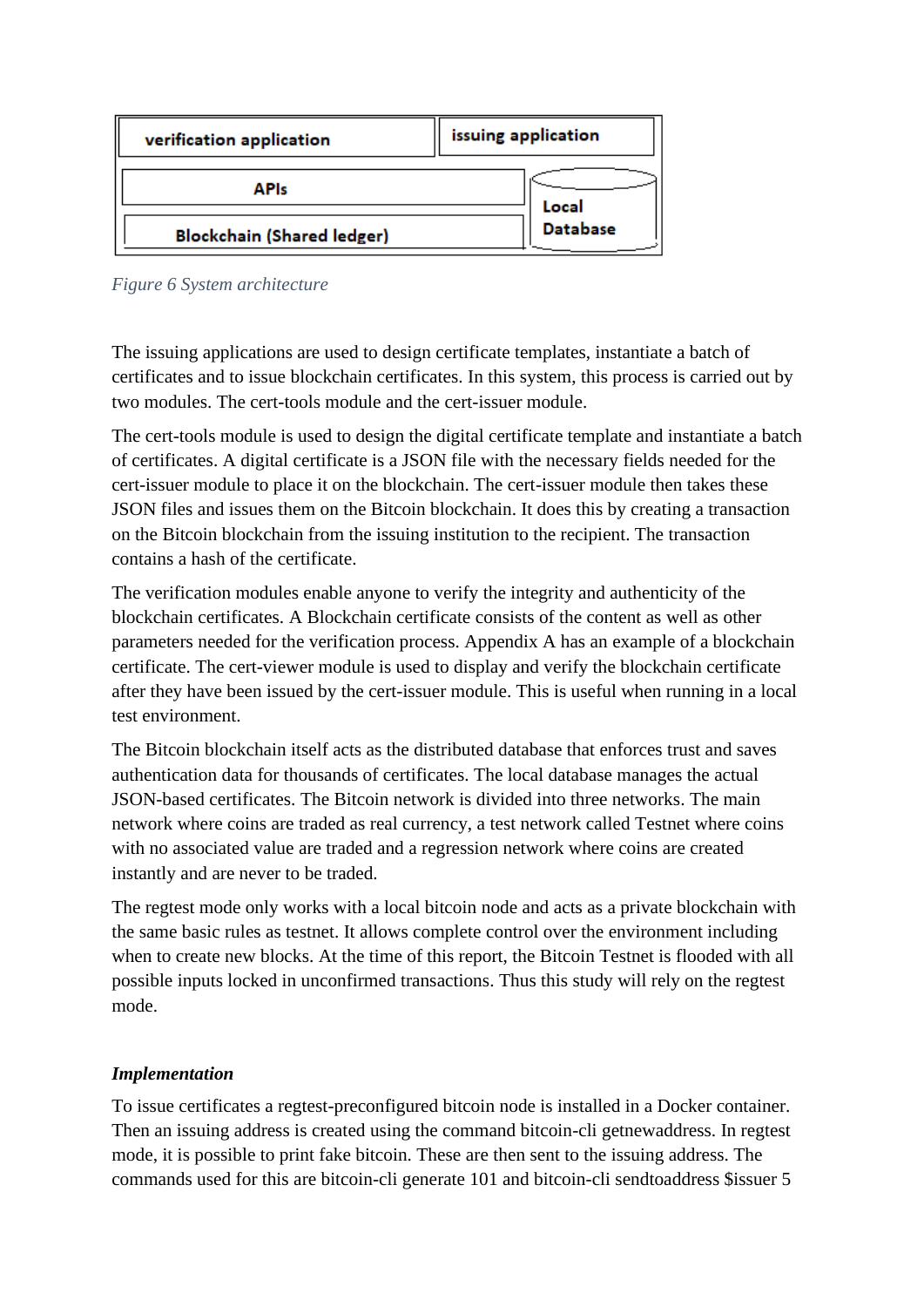| verification application          | issuing application |  |
|-----------------------------------|---------------------|--|
| <b>APIs</b>                       | Local               |  |
| <b>Blockchain (Shared ledger)</b> | <b>Database</b>     |  |

#### *Figure 6 System architecture*

The issuing applications are used to design certificate templates, instantiate a batch of certificates and to issue blockchain certificates. In this system, this process is carried out by two modules. The cert-tools module and the cert-issuer module.

The cert-tools module is used to design the digital certificate template and instantiate a batch of certificates. A digital certificate is a JSON file with the necessary fields needed for the cert-issuer module to place it on the blockchain. The cert-issuer module then takes these JSON files and issues them on the Bitcoin blockchain. It does this by creating a transaction on the Bitcoin blockchain from the issuing institution to the recipient. The transaction contains a hash of the certificate.

The verification modules enable anyone to verify the integrity and authenticity of the blockchain certificates. A Blockchain certificate consists of the content as well as other parameters needed for the verification process. Appendix A has an example of a blockchain certificate. The cert-viewer module is used to display and verify the blockchain certificate after they have been issued by the cert-issuer module. This is useful when running in a local test environment.

The Bitcoin blockchain itself acts as the distributed database that enforces trust and saves authentication data for thousands of certificates. The local database manages the actual JSON-based certificates. The Bitcoin network is divided into three networks. The main network where coins are traded as real currency, a test network called Testnet where coins with no associated value are traded and a regression network where coins are created instantly and are never to be traded.

The regtest mode only works with a local bitcoin node and acts as a private blockchain with the same basic rules as testnet. It allows complete control over the environment including when to create new blocks. At the time of this report, the Bitcoin Testnet is flooded with all possible inputs locked in unconfirmed transactions. Thus this study will rely on the regtest mode.

#### *Implementation*

To issue certificates a regtest-preconfigured bitcoin node is installed in a Docker container. Then an issuing address is created using the command bitcoin-cli getnewaddress. In regtest mode, it is possible to print fake bitcoin. These are then sent to the issuing address. The commands used for this are bitcoin-cli generate 101 and bitcoin-cli sendtoaddress \$issuer 5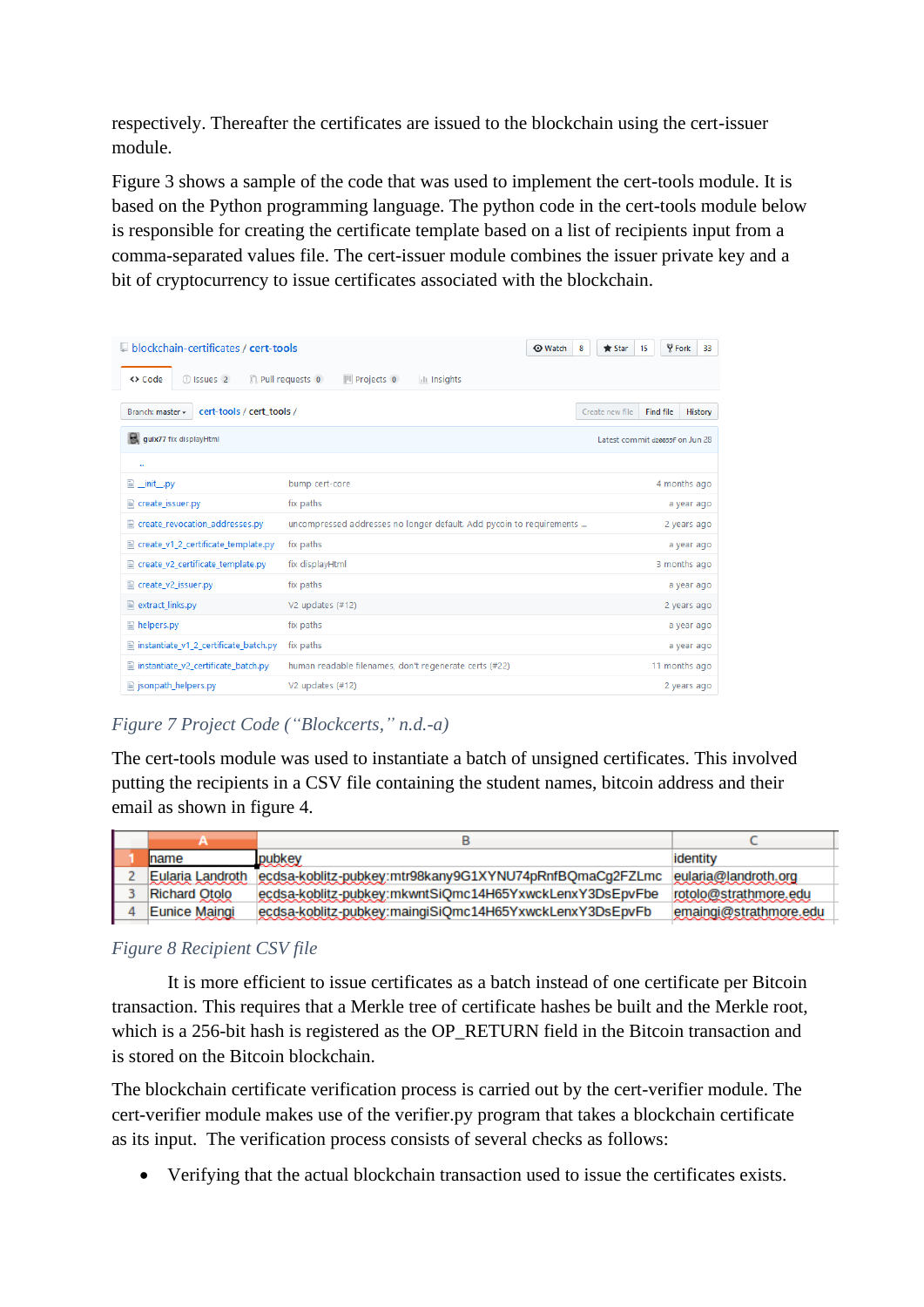respectively. Thereafter the certificates are issued to the blockchain using the cert-issuer module.

Figure 3 shows a sample of the code that was used to implement the cert-tools module. It is based on the Python programming language. The python code in the cert-tools module below is responsible for creating the certificate template based on a list of recipients input from a comma-separated values file. The cert-issuer module combines the issuer private key and a bit of cryptocurrency to issue certificates associated with the blockchain.

| $\Box$ blockchain-certificates / cert-tools   | 8<br><b>★ Star</b>                                                   | $\sqrt[6]{}$ Fork<br>15 | 33              |                                 |         |
|-----------------------------------------------|----------------------------------------------------------------------|-------------------------|-----------------|---------------------------------|---------|
| 1 Issues 2<br><> Code                         | 11 Pull requests 0<br><b>III</b> Projects 0<br><b>ILL</b> Insights   |                         |                 |                                 |         |
| cert-tools / cert tools /<br>Branch: master - |                                                                      |                         | Create new file | <b>Find file</b>                | History |
| guix77 fix displayHtml                        |                                                                      |                         |                 | Latest commit daggssf on Jun 28 |         |
| $\mathbf{r}$                                  |                                                                      |                         |                 |                                 |         |
| ■ _init_.py                                   | bump cert-core                                                       |                         |                 | 4 months ago                    |         |
| $\equiv$ create issuer.py                     | fix paths                                                            |                         |                 | a year ago                      |         |
| create_revocation_addresses.py                | uncompressed addresses no longer default. Add pycoin to requirements |                         |                 | 2 years ago                     |         |
| create_v1_2_certificate_template.py           | fix paths                                                            |                         |                 | a year ago                      |         |
| ■ create_v2_certificate_template.py           | fix displayHtml                                                      |                         |                 | 3 months ago                    |         |
| ■ create_v2_issuer.py                         | fix paths                                                            |                         |                 | a year ago                      |         |
| extract_links.py                              | V2 updates (#12)                                                     |                         |                 | 2 years ago                     |         |
| helpers.py                                    | fix paths                                                            |                         |                 | a year ago                      |         |
| $\Box$ instantiate v1 2 certificate batch.py  | fix paths                                                            |                         |                 | a year ago                      |         |
| instantiate_v2_certificate_batch.py           | human readable filenames, don't regenerate certs (#22)               |                         |                 | 11 months ago                   |         |
| sonpath_helpers.py                            | V2 updates (#12)                                                     |                         |                 | 2 years ago                     |         |

# *Figure 7 Project Code ("Blockcerts," n.d.-a)*

The cert-tools module was used to instantiate a batch of unsigned certificates. This involved putting the recipients in a CSV file containing the student names, bitcoin address and their email as shown in figure 4.

| Iname                      | <u>pubkey</u>                                           | lidentity               |
|----------------------------|---------------------------------------------------------|-------------------------|
| Eularia Landroth           | ecdsa-koblitz-pubkey:mtr98kany9G1XYNU74pRnfBQmaCg2FZLmc | eularia@landroth.org    |
| <b>Richard Otolo</b><br>∼∼ | ecdsa-koblitz-pubkey:mkwntSiQmc14H65YxwckLenxY3DsEpvFbe | rotolo@strathmore.edu   |
| Eunice Maingi              | ecdsa-koblitz-pubkey:maingiSiOmc14H65YxwckLenxY3DsEpvFb | lemaingi@strathmore.edu |

### *Figure 8 Recipient CSV file*

It is more efficient to issue certificates as a batch instead of one certificate per Bitcoin transaction. This requires that a Merkle tree of certificate hashes be built and the Merkle root, which is a 256-bit hash is registered as the OP\_RETURN field in the Bitcoin transaction and is stored on the Bitcoin blockchain.

The blockchain certificate verification process is carried out by the cert-verifier module. The cert-verifier module makes use of the verifier.py program that takes a blockchain certificate as its input. The verification process consists of several checks as follows:

• Verifying that the actual blockchain transaction used to issue the certificates exists.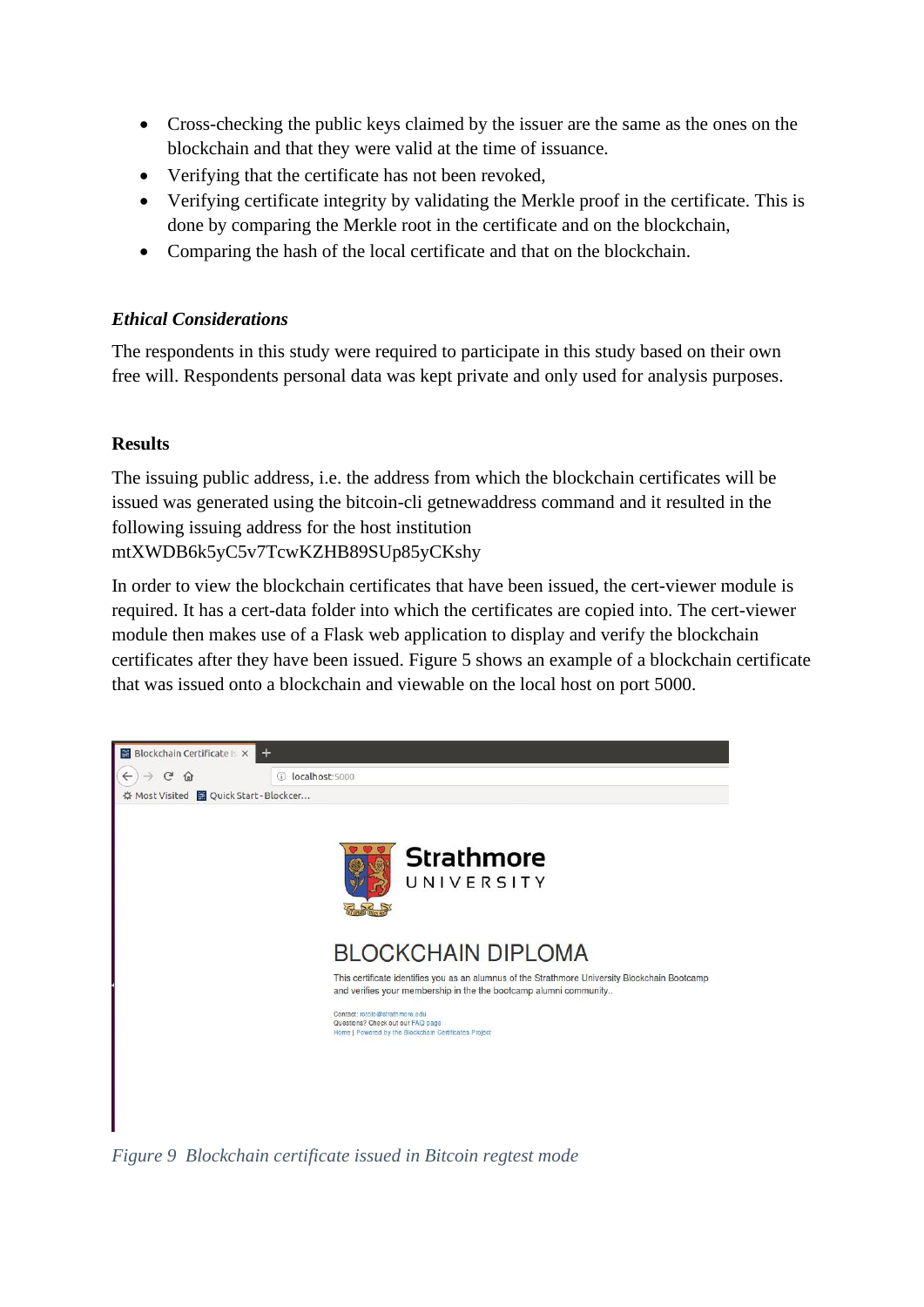- Cross-checking the public keys claimed by the issuer are the same as the ones on the blockchain and that they were valid at the time of issuance.
- Verifying that the certificate has not been revoked,
- Verifying certificate integrity by validating the Merkle proof in the certificate. This is done by comparing the Merkle root in the certificate and on the blockchain,
- Comparing the hash of the local certificate and that on the blockchain.

### *Ethical Considerations*

The respondents in this study were required to participate in this study based on their own free will. Respondents personal data was kept private and only used for analysis purposes.

# **Results**

The issuing public address, i.e. the address from which the blockchain certificates will be issued was generated using the bitcoin-cli getnewaddress command and it resulted in the following issuing address for the host institution mtXWDB6k5yC5v7TcwKZHB89SUp85yCKshy

In order to view the blockchain certificates that have been issued, the cert-viewer module is required. It has a cert-data folder into which the certificates are copied into. The cert-viewer module then makes use of a Flask web application to display and verify the blockchain certificates after they have been issued. Figure 5 shows an example of a blockchain certificate that was issued onto a blockchain and viewable on the local host on port 5000.



*Figure 9 Blockchain certificate issued in Bitcoin regtest mode*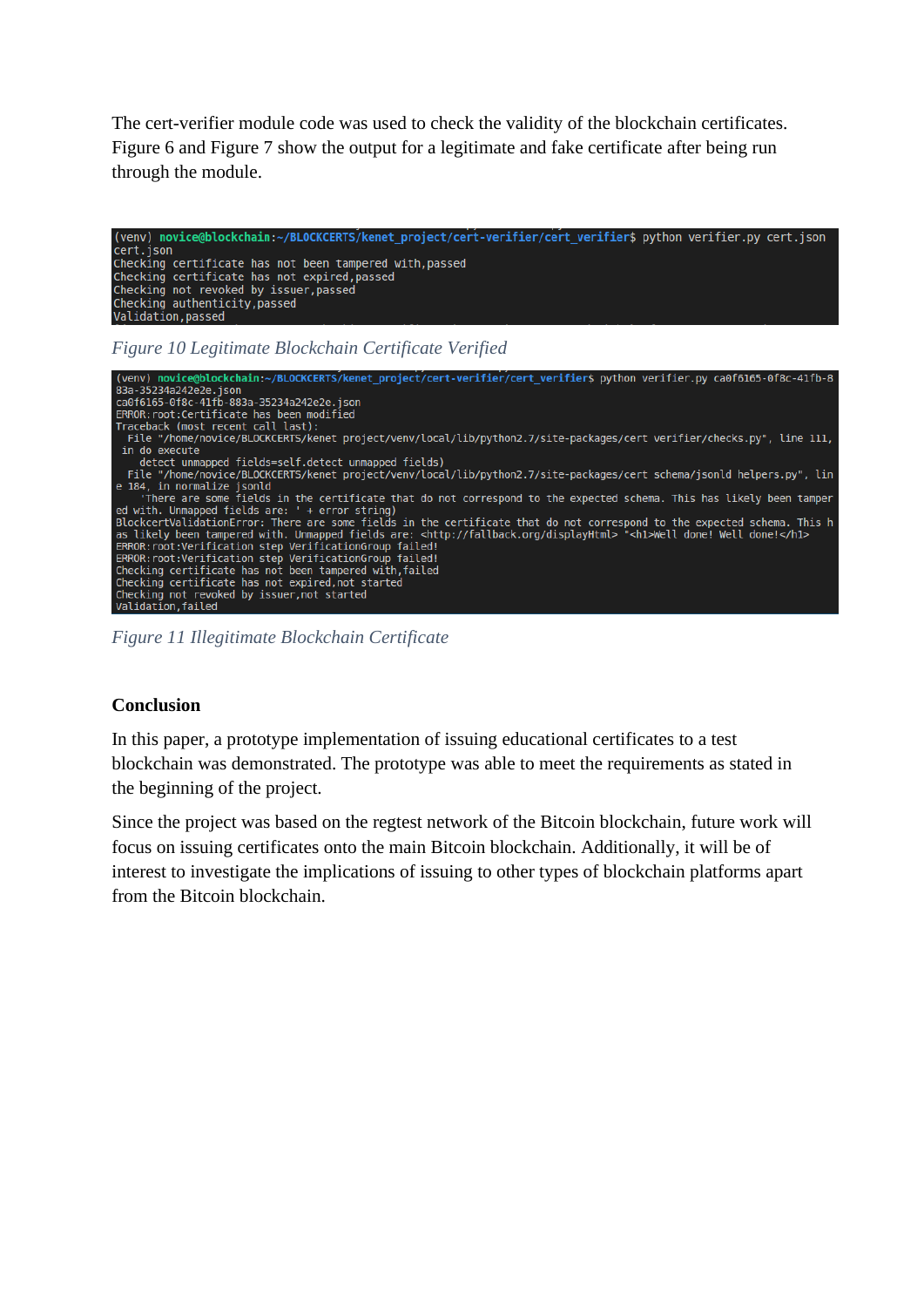The cert-verifier module code was used to check the validity of the blockchain certificates. Figure 6 and Figure 7 show the output for a legitimate and fake certificate after being run through the module.



*Figure 10 Legitimate Blockchain Certificate Verified*



*Figure 11 Illegitimate Blockchain Certificate*

### **Conclusion**

In this paper, a prototype implementation of issuing educational certificates to a test blockchain was demonstrated. The prototype was able to meet the requirements as stated in the beginning of the project.

Since the project was based on the regtest network of the Bitcoin blockchain, future work will focus on issuing certificates onto the main Bitcoin blockchain. Additionally, it will be of interest to investigate the implications of issuing to other types of blockchain platforms apart from the Bitcoin blockchain.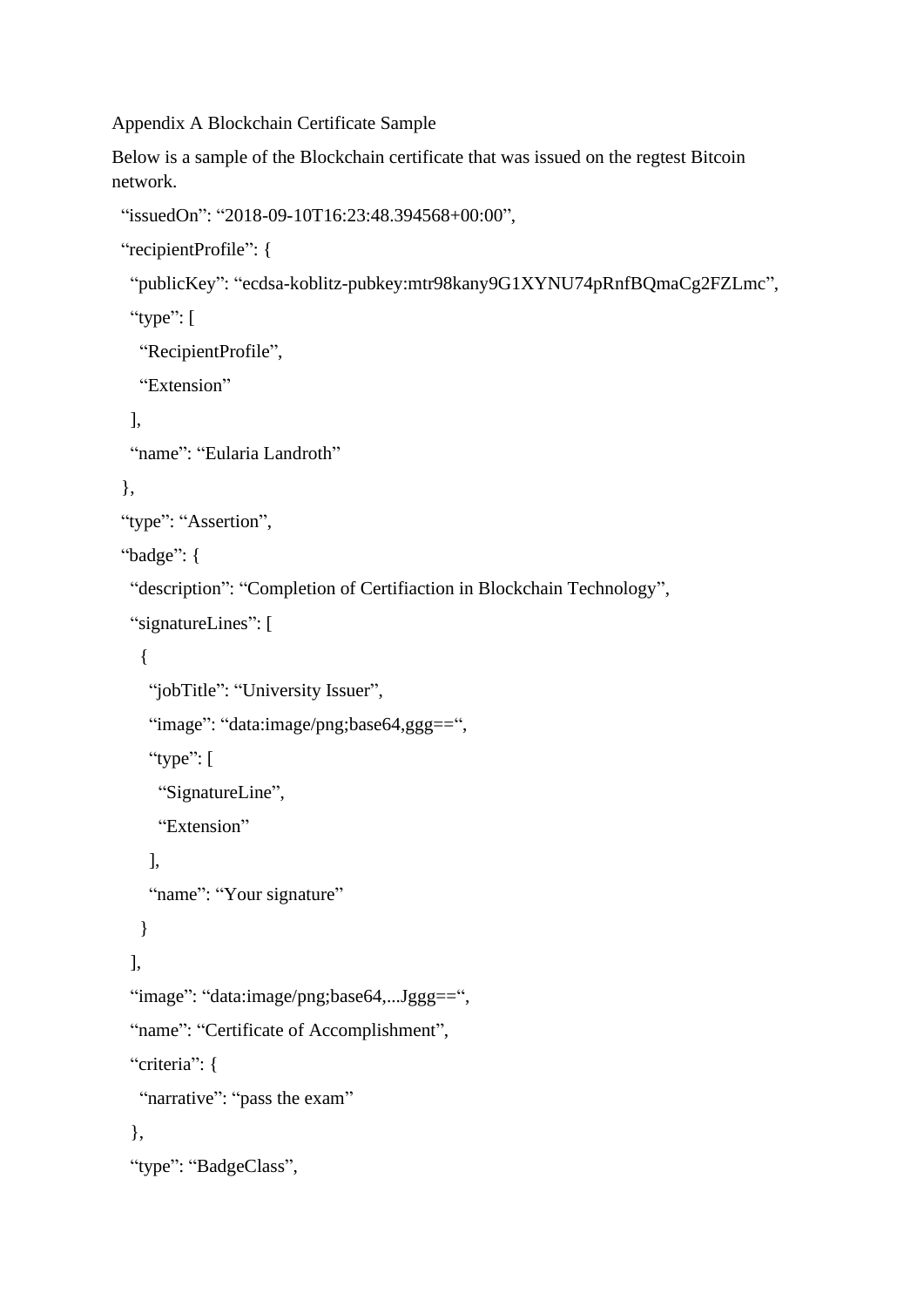Appendix A Blockchain Certificate Sample

Below is a sample of the Blockchain certificate that was issued on the regtest Bitcoin network.

```
 "issuedOn": "2018-09-10T16:23:48.394568+00:00",
 "recipientProfile": {
  "publicKey": "ecdsa-koblitz-pubkey:mtr98kany9G1XYNU74pRnfBQmaCg2FZLmc",
 "type": \lceil "RecipientProfile",
   "Extension"
  ],
  "name": "Eularia Landroth"
 },
"type": "Assertion",
 "badge": {
  "description": "Completion of Certifiaction in Blockchain Technology",
  "signatureLines": [
   {
   "jobTitle": "University Issuer",
   "image": "data:image/png;base64,ggg==",
    "type": [
     "SignatureLine",
     "Extension"
    ],
   "name": "Your signature"
   }
  ],
 "image": "data:image/png;base64,...Jggg==",
 "name": "Certificate of Accomplishment",
  "criteria": {
  "narrative": "pass the exam"
  },
 "type": "BadgeClass",
```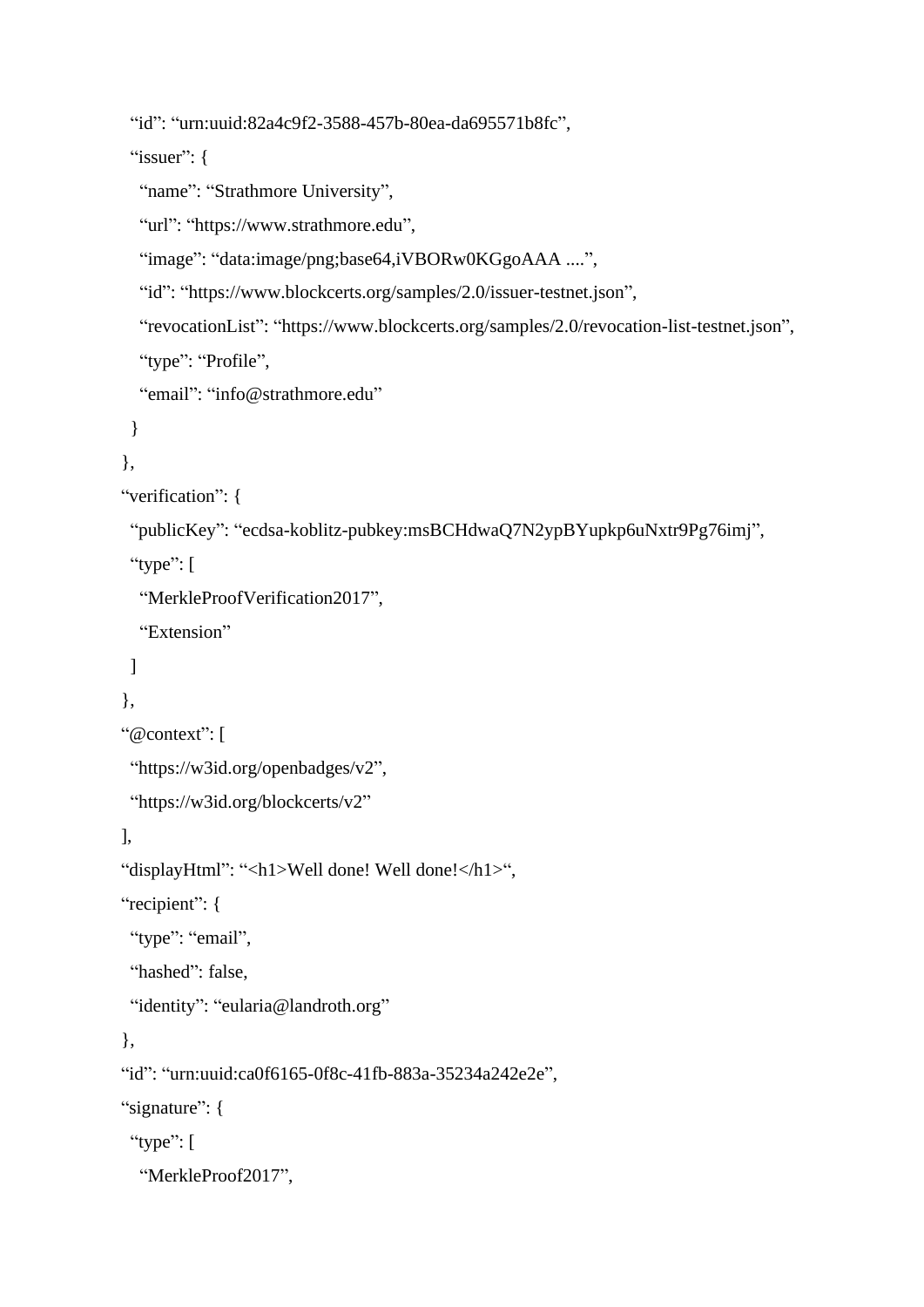```
 "id": "urn:uuid:82a4c9f2-3588-457b-80ea-da695571b8fc",
```
"issuer": {

```
"name": "Strathmore University",
```

```
"url": "https://www.strathmore.edu",
```

```
"image": "data:image/png;base64,iVBORw0KGgoAAA ....",
```

```
 "id": "https://www.blockcerts.org/samples/2.0/issuer-testnet.json",
```

```
 "revocationList": "https://www.blockcerts.org/samples/2.0/revocation-list-testnet.json",
```

```
"type": "Profile",
```

```
 "email": "info@strathmore.edu"
```

```
 }
```

```
 },
```

```
"verification": {
```

```
 "publicKey": "ecdsa-koblitz-pubkey:msBCHdwaQ7N2ypBYupkp6uNxtr9Pg76imj",
```

```
 "type": [
```

```
 "MerkleProofVerification2017",
```

```
 "Extension"
```

```
 ]
```

```
 },
```

```
 "@context": [
```

```
 "https://w3id.org/openbadges/v2",
```

```
 "https://w3id.org/blockcerts/v2"
```
],

```
 "displayHtml": "<h1>Well done! Well done!</h1>",
```

```
"recipient": {
```

```
"type": "email",
```

```
"hashed": false,
```

```
 "identity": "eularia@landroth.org"
```

```
 },
```

```
 "id": "urn:uuid:ca0f6165-0f8c-41fb-883a-35234a242e2e",
```

```
"signature": {
```

```
 "type": [
```

```
 "MerkleProof2017",
```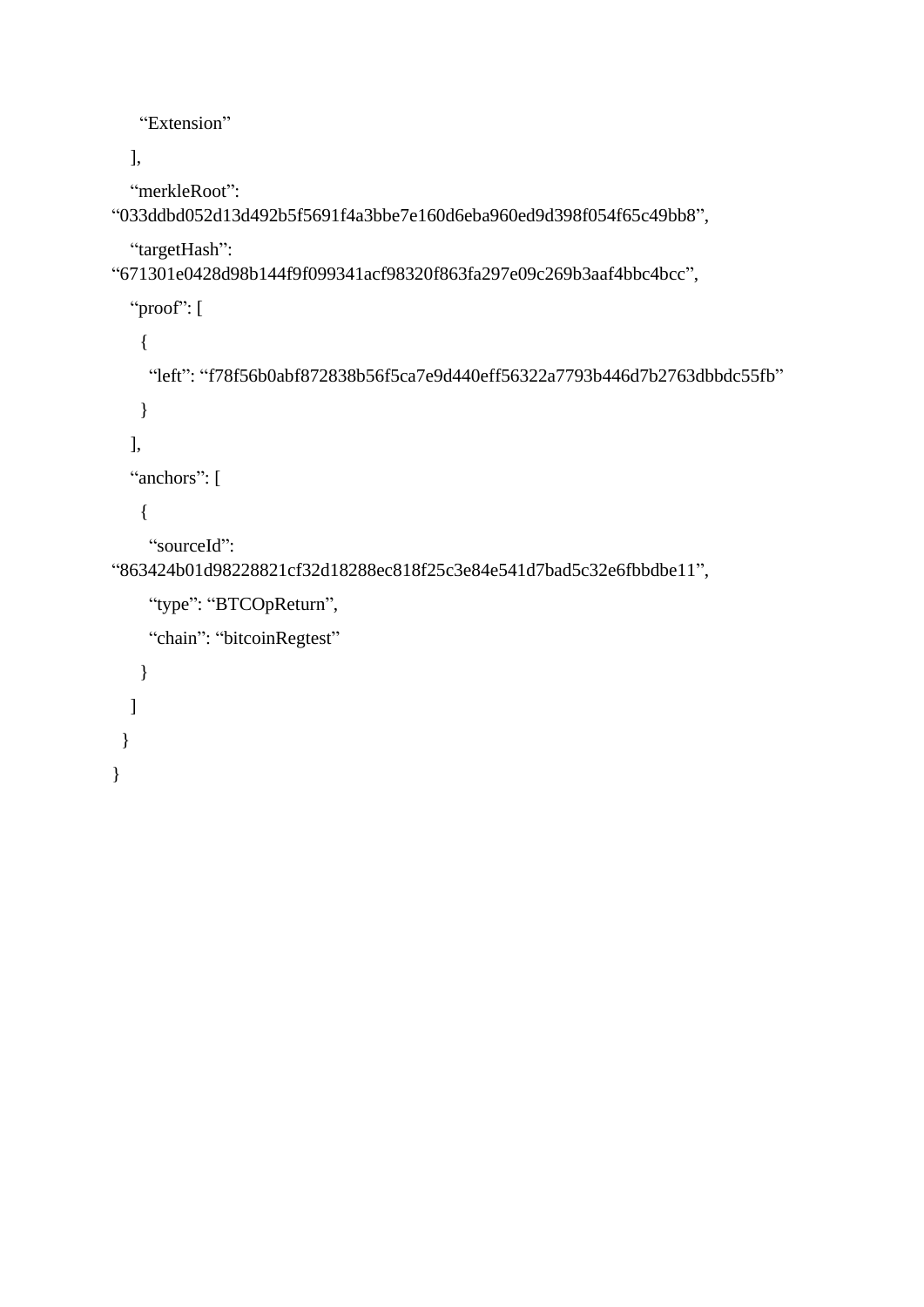```
 "Extension"
   ],
   "merkleRoot": 
"033ddbd052d13d492b5f5691f4a3bbe7e160d6eba960ed9d398f054f65c49bb8",
   "targetHash": 
"671301e0428d98b144f9f099341acf98320f863fa297e09c269b3aaf4bbc4bcc",
   "proof": [
    {
     "left": "f78f56b0abf872838b56f5ca7e9d440eff56322a7793b446d7b2763dbbdc55fb"
    }
   ],
  "anchors": [
    {
     "sourceId": 
"863424b01d98228821cf32d18288ec818f25c3e84e541d7bad5c32e6fbbdbe11",
    "type": "BTCOpReturn",
    "chain": "bitcoinRegtest"
    }
   ]
  }
}
```